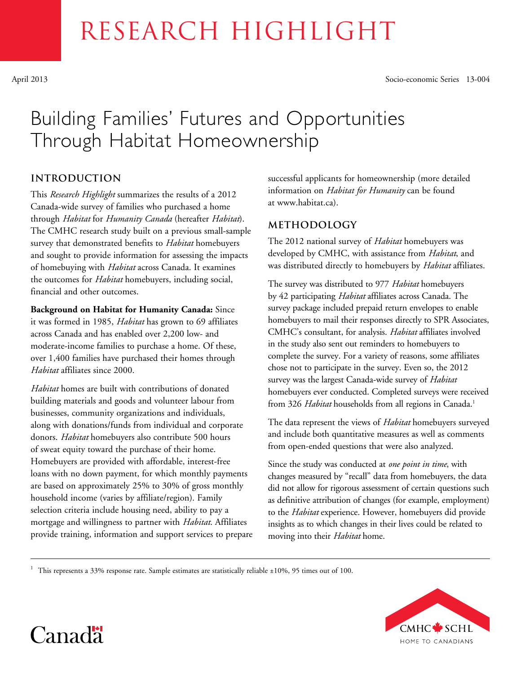# RESEARCH HIGHLIGHT

April 2013 Socio-economic Series 13-004

# Building Families' Futures and Opportunities Through Habitat Homeownership

# **introduction**

This *Research Highlight* summarizes the results of a 2012 Canada-wide survey of families who purchased a home through *Habitat* for *Humanity Canada* (hereafter *Habitat*). The CMHC research study built on a previous small-sample survey that demonstrated benefits to *Habitat* homebuyers and sought to provide information for assessing the impacts of homebuying with *Habitat* across Canada. It examines the outcomes for *Habitat* homebuyers, including social, financial and other outcomes.

**Background on Habitat for Humanity Canada:** Since it was formed in 1985, *Habitat* has grown to 69 affiliates across Canada and has enabled over 2,200 low- and moderate-income families to purchase a home. Of these, over 1,400 families have purchased their homes through *Habitat* affiliates since 2000.

*Habitat* homes are built with contributions of donated building materials and goods and volunteer labour from businesses, community organizations and individuals, along with donations/funds from individual and corporate donors. *Habitat* homebuyers also contribute 500 hours of sweat equity toward the purchase of their home. Homebuyers are provided with affordable, interest-free loans with no down payment, for which monthly payments are based on approximately 25% to 30% of gross monthly household income (varies by affiliate/region). Family selection criteria include housing need, ability to pay a mortgage and willingness to partner with *Habitat*. Affiliates provide training, information and support services to prepare successful applicants for homeownership (more detailed information on *Habitat for Humanity* can be found at www.habitat.ca).

# **Methodology**

The 2012 national survey of *Habitat* homebuyers was developed by CMHC, with assistance from *Habitat*, and was distributed directly to homebuyers by *Habitat* affiliates.

The survey was distributed to 977 *Habitat* homebuyers by 42 participating *Habitat* affiliates across Canada. The survey package included prepaid return envelopes to enable homebuyers to mail their responses directly to SPR Associates, CMHC's consultant, for analysis. *Habitat* affiliates involved in the study also sent out reminders to homebuyers to complete the survey. For a variety of reasons, some affiliates chose not to participate in the survey. Even so, the 2012 survey was the largest Canada-wide survey of *Habitat* homebuyers ever conducted. Completed surveys were received from 326 *Habitat* households from all regions in Canada.<sup>1</sup>

The data represent the views of *Habitat* homebuyers surveyed and include both quantitative measures as well as comments from open-ended questions that were also analyzed.

Since the study was conducted at *one point in time*, with changes measured by "recall" data from homebuyers, the data did not allow for rigorous assessment of certain questions such as definitive attribution of changes (for example, employment) to the *Habitat* experience. However, homebuyers did provide insights as to which changes in their lives could be related to moving into their *Habitat* home.

<sup>1</sup> This represents a 33% response rate. Sample estimates are statistically reliable  $\pm 10\%$ , 95 times out of 100.



Canad<sup>\*</sup>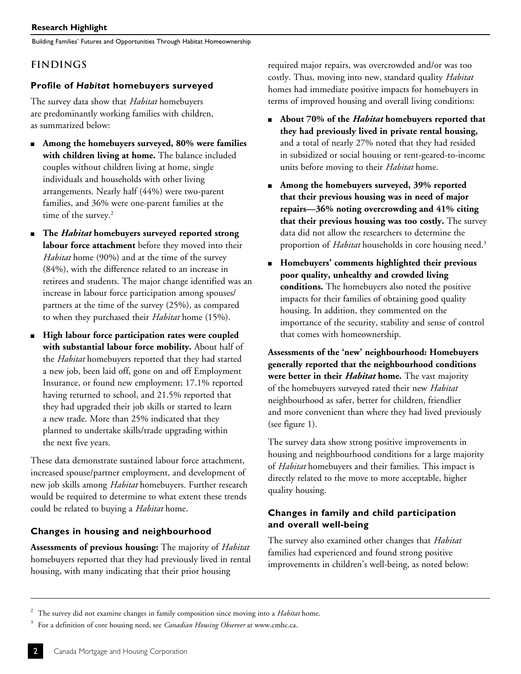Building Families' Futures and Opportunities Through Habitat Homeownership

# **Findings**

### **Profile of** *Habitat* **homebuyers surveyed**

The survey data show that *Habitat* homebuyers are predominantly working families with children, as summarized below:

- <sup>n</sup> **Among the homebuyers surveyed, 80% were families with children living at home.** The balance included couples without children living at home, single individuals and households with other living arrangements. Nearly half (44%) were two-parent families, and 36% were one-parent families at the time of the survey.<sup>2</sup>
- <sup>n</sup> **The** *Habitat* **homebuyers surveyed reported strong labour force attachment** before they moved into their *Habitat* home (90%) and at the time of the survey (84%), with the difference related to an increase in retirees and students. The major change identified was an increase in labour force participation among spouses/ partners at the time of the survey (25%), as compared to when they purchased their *Habitat* home (15%).
- <sup>n</sup> **High labour force participation rates were coupled with substantial labour force mobility.** About half of the *Habitat* homebuyers reported that they had started a new job, been laid off, gone on and off Employment Insurance, or found new employment; 17.1% reported having returned to school, and 21.5% reported that they had upgraded their job skills or started to learn a new trade. More than 25% indicated that they planned to undertake skills/trade upgrading within the next five years.

These data demonstrate sustained labour force attachment, increased spouse/partner employment, and development of new job skills among *Habitat* homebuyers. Further research would be required to determine to what extent these trends could be related to buying a *Habitat* home.

# **Changes in housing and neighbourhood**

**Assessments of previous housing:** The majority of *Habitat* homebuyers reported that they had previously lived in rental housing, with many indicating that their prior housing

required major repairs, was overcrowded and/or was too costly. Thus, moving into new, standard quality *Habitat* homes had immediate positive impacts for homebuyers in terms of improved housing and overall living conditions:

- <sup>n</sup> **About 70% of the** *Habitat* **homebuyers reported that they had previously lived in private rental housing,** and a total of nearly 27% noted that they had resided in subsidized or social housing or rent-geared-to-income units before moving to their *Habitat* home.
- <sup>n</sup> **Among the homebuyers surveyed, 39% reported that their previous housing was in need of major repairs—36% noting overcrowding and 41% citing that their previous housing was too costly.** The survey data did not allow the researchers to determine the proportion of *Habitat* households in core housing need.<sup>3</sup>
- <sup>n</sup> **Homebuyers' comments highlighted their previous poor quality, unhealthy and crowded living conditions.** The homebuyers also noted the positive impacts for their families of obtaining good quality housing. In addition, they commented on the importance of the security, stability and sense of control that comes with homeownership.

**Assessments of the 'new' neighbourhood: Homebuyers generally reported that the neighbourhood conditions were better in their** *Habitat* **home.** The vast majority of the homebuyers surveyed rated their new *Habitat* neighbourhood as safer, better for children, friendlier and more convenient than where they had lived previously (see figure 1).

The survey data show strong positive improvements in housing and neighbourhood conditions for a large majority of *Habitat* homebuyers and their families. This impact is directly related to the move to more acceptable, higher quality housing.

# **Changes in family and child participation and overall well-being**

The survey also examined other changes that *Habitat* families had experienced and found strong positive improvements in children's well-being, as noted below:

<sup>2</sup> The survey did not examine changes in family composition since moving into a *Habitat* home.

<sup>3</sup> For a definition of core housing need, see *Canadian Housing Observer* at www.cmhc.ca.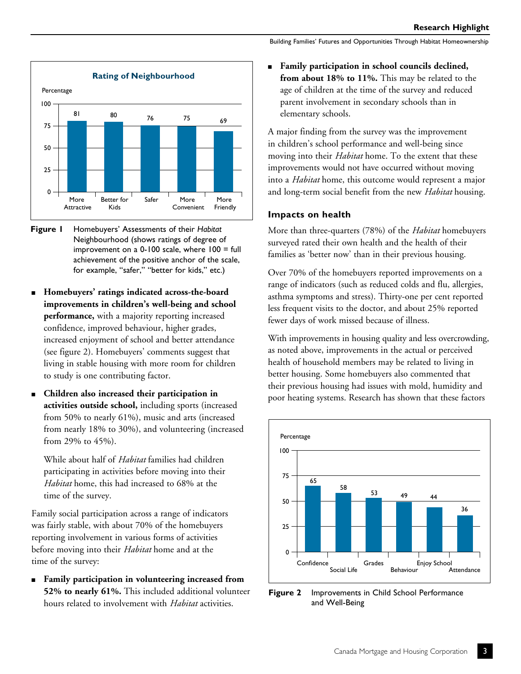

- **Figure 1** Homebuyers' Assessments of their *Habitat* Neighbourhood (shows ratings of degree of improvement on a  $0-100$  scale, where  $100 =$  full achievement of the positive anchor of the scale, for example, "safer," "better for kids," etc.)
- <sup>n</sup> **Homebuyers' ratings indicated across-the-board improvements in children's well-being and school performance,** with a majority reporting increased confidence, improved behaviour, higher grades, increased enjoyment of school and better attendance (see figure 2). Homebuyers' comments suggest that living in stable housing with more room for children to study is one contributing factor.
- <sup>n</sup> **Children also increased their participation in activities outside school,** including sports (increased from 50% to nearly 61%), music and arts (increased from nearly 18% to 30%), and volunteering (increased from 29% to 45%).

While about half of *Habitat* families had children participating in activities before moving into their *Habitat* home, this had increased to 68% at the time of the survey.

Family social participation across a range of indicators was fairly stable, with about 70% of the homebuyers reporting involvement in various forms of activities before moving into their *Habitat* home and at the time of the survey:

<sup>n</sup> **Family participation in volunteering increased from 52% to nearly 61%.** This included additional volunteer hours related to involvement with *Habitat* activities.

Building Families' Futures and Opportunities Through Habitat Homeownership

Family participation in school councils declined, **from about 18% to 11%.** This may be related to the age of children at the time of the survey and reduced parent involvement in secondary schools than in elementary schools.

A major finding from the survey was the improvement in children's school performance and well-being since moving into their *Habitat* home. To the extent that these improvements would not have occurred without moving into a *Habitat* home, this outcome would represent a major and long-term social benefit from the new *Habitat* housing.

#### **Impacts on health**

More than three-quarters (78%) of the *Habitat* homebuyers surveyed rated their own health and the health of their families as 'better now' than in their previous housing.

Over 70% of the homebuyers reported improvements on a range of indicators (such as reduced colds and flu, allergies, asthma symptoms and stress). Thirty-one per cent reported less frequent visits to the doctor, and about 25% reported fewer days of work missed because of illness.

With improvements in housing quality and less overcrowding, as noted above, improvements in the actual or perceived health of household members may be related to living in better housing. Some homebuyers also commented that their previous housing had issues with mold, humidity and poor heating systems. Research has shown that these factors



**Figure 2** Improvements in Child School Performance and Well-Being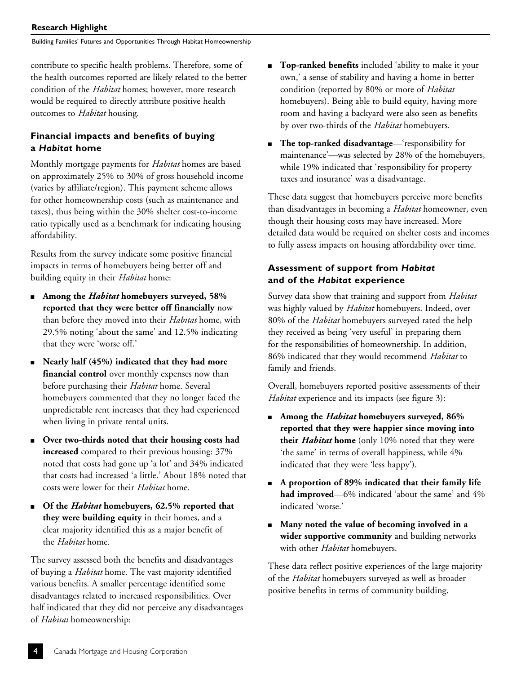#### **Research Highlight**

Building Families' Futures and Opportunities Through Habitat Homeownership

contribute to specific health problems. Therefore, some of the health outcomes reported are likely related to the better condition of the *Habitat* homes; however, more research would be required to directly attribute positive health outcomes to *Habitat* housing.

# **Financial impacts and benefits of buying a** *Habitat* **home**

Monthly mortgage payments for *Habitat* homes are based on approximately 25% to 30% of gross household income (varies by affiliate/region). This payment scheme allows for other homeownership costs (such as maintenance and taxes), thus being within the 30% shelter cost-to-income ratio typically used as a benchmark for indicating housing affordability.

Results from the survey indicate some positive financial impacts in terms of homebuyers being better off and building equity in their *Habitat* home:

- Among the *Habitat* homebuyers surveyed, 58% **reported that they were better off financially** now than before they moved into their *Habitat* home, with 29.5% noting 'about the same' and 12.5% indicating that they were 'worse off.'
- <sup>n</sup> **Nearly half (45%) indicated that they had more financial control** over monthly expenses now than before purchasing their *Habitat* home. Several homebuyers commented that they no longer faced the unpredictable rent increases that they had experienced when living in private rental units.
- Over two-thirds noted that their housing costs had **increased** compared to their previous housing: 37% noted that costs had gone up 'a lot' and 34% indicated that costs had increased 'a little.' About 18% noted that costs were lower for their *Habitat* home.
- Of the *Habitat* homebuyers, 62.5% reported that **they were building equity** in their homes, and a clear majority identified this as a major benefit of the *Habitat* home.

The survey assessed both the benefits and disadvantages of buying a *Habitat* home. The vast majority identified various benefits. A smaller percentage identified some disadvantages related to increased responsibilities. Over half indicated that they did not perceive any disadvantages of *Habitat* homeownership:

- **n Top-ranked benefits** included 'ability to make it your own,' a sense of stability and having a home in better condition (reported by 80% or more of *Habitat* homebuyers). Being able to build equity, having more room and having a backyard were also seen as benefits by over two-thirds of the *Habitat* homebuyers.
- **n The top-ranked disadvantage**—'responsibility for maintenance'—was selected by 28% of the homebuyers, while 19% indicated that 'responsibility for property taxes and insurance' was a disadvantage.

These data suggest that homebuyers perceive more benefits than disadvantages in becoming a *Habitat* homeowner, even though their housing costs may have increased. More detailed data would be required on shelter costs and incomes to fully assess impacts on housing affordability over time.

# **Assessment of support from** *Habitat* **and of the** *Habitat* **experience**

Survey data show that training and support from *Habitat* was highly valued by *Habitat* homebuyers. Indeed, over 80% of the *Habitat* homebuyers surveyed rated the help they received as being 'very useful' in preparing them for the responsibilities of homeownership. In addition, 86% indicated that they would recommend *Habitat* to family and friends.

Overall, homebuyers reported positive assessments of their *Habitat* experience and its impacts (see figure 3):

- <sup>n</sup> **Among the** *Habitat* **homebuyers surveyed, 86% reported that they were happier since moving into their** *Habitat* **home** (only 10% noted that they were 'the same' in terms of overall happiness, while 4% indicated that they were 'less happy').
- <sup>n</sup> **A proportion of 89% indicated that their family life had improved**—6% indicated 'about the same' and 4% indicated 'worse.'
- <sup>n</sup> **Many noted the value of becoming involved in a wider supportive community** and building networks with other *Habitat* homebuyers.

These data reflect positive experiences of the large majority of the *Habitat* homebuyers surveyed as well as broader positive benefits in terms of community building.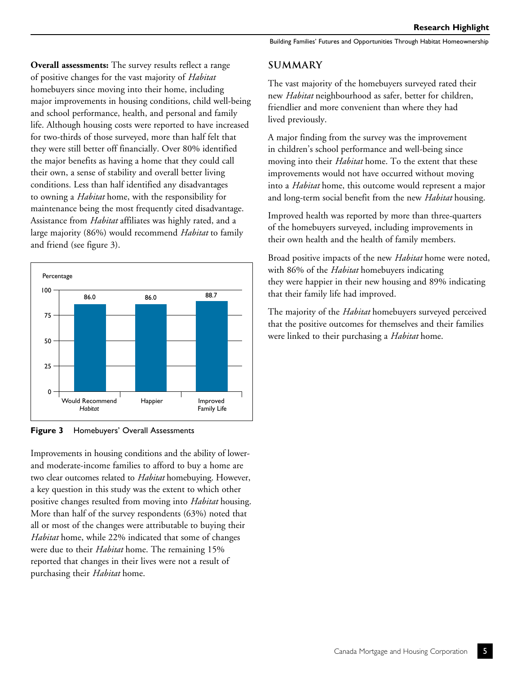**Overall assessments:** The survey results reflect a range of positive changes for the vast majority of *Habitat* homebuyers since moving into their home, including major improvements in housing conditions, child well-being and school performance, health, and personal and family life. Although housing costs were reported to have increased for two-thirds of those surveyed, more than half felt that they were still better off financially. Over 80% identified the major benefits as having a home that they could call their own, a sense of stability and overall better living conditions. Less than half identified any disadvantages to owning a *Habitat* home, with the responsibility for maintenance being the most frequently cited disadvantage. Assistance from *Habitat* affiliates was highly rated, and a large majority (86%) would recommend *Habitat* to family and friend (see figure 3).



**Figure 3** Homebuyers' Overall Assessments

Improvements in housing conditions and the ability of lowerand moderate-income families to afford to buy a home are two clear outcomes related to *Habitat* homebuying. However, a key question in this study was the extent to which other positive changes resulted from moving into *Habitat* housing. More than half of the survey respondents (63%) noted that all or most of the changes were attributable to buying their *Habitat* home, while 22% indicated that some of changes were due to their *Habitat* home. The remaining 15% reported that changes in their lives were not a result of purchasing their *Habitat* home.

Building Families' Futures and Opportunities Through Habitat Homeownership

# **Summary**

The vast majority of the homebuyers surveyed rated their new *Habitat* neighbourhood as safer, better for children, friendlier and more convenient than where they had lived previously.

A major finding from the survey was the improvement in children's school performance and well-being since moving into their *Habitat* home. To the extent that these improvements would not have occurred without moving into a *Habitat* home, this outcome would represent a major and long-term social benefit from the new *Habitat* housing.

Improved health was reported by more than three-quarters of the homebuyers surveyed, including improvements in their own health and the health of family members.

Broad positive impacts of the new *Habitat* home were noted, with 86% of the *Habitat* homebuyers indicating they were happier in their new housing and 89% indicating that their family life had improved.

The majority of the *Habitat* homebuyers surveyed perceived that the positive outcomes for themselves and their families were linked to their purchasing a *Habitat* home.